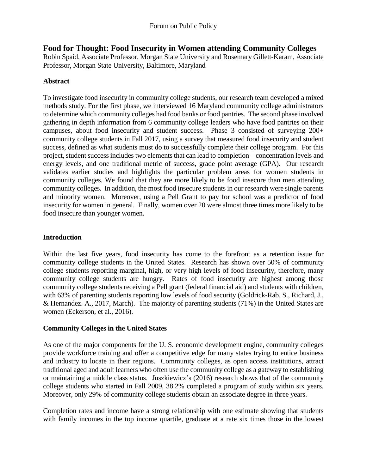**Food for Thought: Food Insecurity in Women attending Community Colleges**

Robin Spaid, Associate Professor, Morgan State University and Rosemary Gillett-Karam, Associate Professor, Morgan State University, Baltimore, Maryland

# **Abstract**

To investigate food insecurity in community college students, our research team developed a mixed methods study. For the first phase, we interviewed 16 Maryland community college administrators to determine which community colleges had food banks or food pantries. The second phase involved gathering in depth information from 6 community college leaders who have food pantries on their campuses, about food insecurity and student success. Phase 3 consisted of surveying 200+ community college students in Fall 2017, using a survey that measured food insecurity and student success, defined as what students must do to successfully complete their college program. For this project, student success includes two elements that can lead to completion – concentration levels and energy levels, and one traditional metric of success, grade point average (GPA). Our research validates earlier studies and highlights the particular problem areas for women students in community colleges. We found that they are more likely to be food insecure than men attending community colleges. In addition, the most food insecure students in our research were single parents and minority women. Moreover, using a Pell Grant to pay for school was a predictor of food insecurity for women in general. Finally, women over 20 were almost three times more likely to be food insecure than younger women.

## **Introduction**

Within the last five years, food insecurity has come to the forefront as a retention issue for community college students in the United States. Research has shown over 50% of community college students reporting marginal, high, or very high levels of food insecurity, therefore, many community college students are hungry. Rates of food insecurity are highest among those community college students receiving a Pell grant (federal financial aid) and students with children, with 63% of parenting students reporting low levels of food security (Goldrick-Rab, S., Richard, J., & Hernandez. A., 2017, March). The majority of parenting students (71%) in the United States are women (Eckerson, et al., 2016).

## **Community Colleges in the United States**

As one of the major components for the U. S. economic development engine, community colleges provide workforce training and offer a competitive edge for many states trying to entice business and industry to locate in their regions. Community colleges, as open access institutions, attract traditional aged and adult learners who often use the community college as a gateway to establishing or maintaining a middle class status. Juszkiewicz's (2016) research shows that of the community college students who started in Fall 2009, 38.2% completed a program of study within six years. Moreover, only 29% of community college students obtain an associate degree in three years.

Completion rates and income have a strong relationship with one estimate showing that students with family incomes in the top income quartile, graduate at a rate six times those in the lowest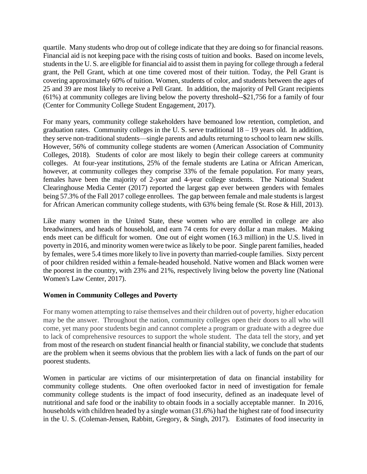quartile. Many students who drop out of college indicate that they are doing so for financial reasons. Financial aid is not keeping pace with the rising costs of tuition and books. Based on income levels, students in the U. S. are eligible for financial aid to assist them in paying for college through a federal grant, the Pell Grant, which at one time covered most of their tuition. Today, the Pell Grant is covering approximately 60% of tuition. Women, students of color, and students between the ages of 25 and 39 are most likely to receive a Pell Grant. In addition, the majority of Pell Grant recipients (61%) at community colleges are living below the poverty threshold--\$21,756 for a family of four (Center for Community College Student Engagement, 2017).

For many years, community college stakeholders have bemoaned low retention, completion, and graduation rates. Community colleges in the U.S. serve traditional  $18 - 19$  years old. In addition, they serve non-traditional students—single parents and adults returning to school to learn new skills. However, 56% of community college students are women (American Association of Community Colleges, 2018). Students of color are most likely to begin their college careers at community colleges. At four-year institutions, 25% of the female students are Latina or African American, however, at community colleges they comprise 33% of the female population. For many years, females have been the majority of 2-year and 4-year college students. The National Student Clearinghouse Media Center (2017) reported the largest gap ever between genders with females being 57.3% of the Fall 2017 college enrollees. The gap between female and male students is largest for African American community college students, with 63% being female (St. Rose & Hill, 2013).

Like many women in the United State, these women who are enrolled in college are also breadwinners, and heads of household, and earn 74 cents for every dollar a man makes. Making ends meet can be difficult for women. One out of eight women (16.3 million) in the U.S. lived in poverty in 2016, and minority women were twice as likely to be poor. Single parent families, headed by females, were 5.4 times more likely to live in poverty than married-couple families. Sixty percent of poor children resided within a female-headed household. Native women and Black women were the poorest in the country, with 23% and 21%, respectively living below the poverty line (National Women's Law Center, 2017).

## **Women in Community Colleges and Poverty**

For many women attempting to raise themselves and their children out of poverty, higher education may be the answer. Throughout the nation, community colleges open their doors to all who will come, yet many poor students begin and cannot complete a program or graduate with a degree due to lack of comprehensive resources to support the whole student. The data tell the story, and yet from most of the research on student financial health or financial stability, we conclude that students are the problem when it seems obvious that the problem lies with a lack of funds on the part of our poorest students.

Women in particular are victims of our misinterpretation of data on financial instability for community college students. One often overlooked factor in need of investigation for female community college students is the impact of food insecurity, defined as an inadequate level of nutritional and safe food or the inability to obtain foods in a socially acceptable manner. In 2016, households with children headed by a single woman (31.6%) had the highest rate of food insecurity in the U. S. (Coleman-Jensen, Rabbitt, Gregory, & Singh, 2017). Estimates of food insecurity in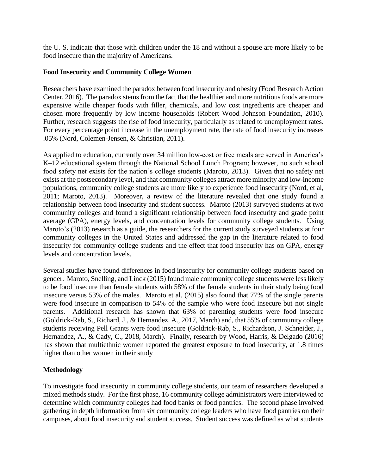the U. S. indicate that those with children under the 18 and without a spouse are more likely to be food insecure than the majority of Americans.

#### **Food Insecurity and Community College Women**

Researchers have examined the paradox between food insecurity and obesity (Food Research Action Center, 2016). The paradox stems from the fact that the healthier and more nutritious foods are more expensive while cheaper foods with filler, chemicals, and low cost ingredients are cheaper and chosen more frequently by low income households (Robert Wood Johnson Foundation, 2010). Further, research suggests the rise of food insecurity, particularly as related to unemployment rates. For every percentage point increase in the unemployment rate, the rate of food insecurity increases .05% (Nord, Colemen-Jensen, & Christian, 2011).

As applied to education, currently over 34 million low-cost or free meals are served in America's K–12 educational system through the National School Lunch Program; however, no such school food safety net exists for the nation's college students (Maroto, 2013). Given that no safety net exists at the postsecondary level, and that community colleges attract more minority and low-income populations, community college students are more likely to experience food insecurity (Nord, et al, 2011; Maroto, 2013). Moreover, a review of the literature revealed that one study found a relationship between food insecurity and student success. Maroto (2013) surveyed students at two community colleges and found a significant relationship between food insecurity and grade point average (GPA), energy levels, and concentration levels for community college students. Using Maroto's (2013) research as a guide, the researchers for the current study surveyed students at four community colleges in the United States and addressed the gap in the literature related to food insecurity for community college students and the effect that food insecurity has on GPA, energy levels and concentration levels.

Several studies have found differences in food insecurity for community college students based on gender. Maroto, Snelling, and Linck (2015) found male community college students were less likely to be food insecure than female students with 58% of the female students in their study being food insecure versus 53% of the males. Maroto et al. (2015) also found that 77% of the single parents were food insecure in comparison to 54% of the sample who were food insecure but not single parents. Additional research has shown that 63% of parenting students were food insecure (Goldrick-Rab, S., Richard, J., & Hernandez. A., 2017, March) and, that 55% of community college students receiving Pell Grants were food insecure (Goldrick-Rab, S., Richardson, J. Schneider, J., Hernandez, A., & Cady, C., 2018, March). Finally, research by Wood, Harris, & Delgado (2016) has shown that multiethnic women reported the greatest exposure to food insecurity, at 1.8 times higher than other women in their study

## **Methodology**

To investigate food insecurity in community college students, our team of researchers developed a mixed methods study. For the first phase, 16 community college administrators were interviewed to determine which community colleges had food banks or food pantries. The second phase involved gathering in depth information from six community college leaders who have food pantries on their campuses, about food insecurity and student success. Student success was defined as what students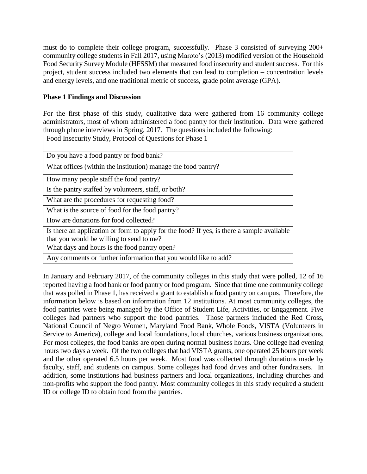must do to complete their college program, successfully. Phase 3 consisted of surveying 200+ community college students in Fall 2017, using Maroto's (2013) modified version of the Household Food Security Survey Module (HFSSM) that measured food insecurity and student success. For this project, student success included two elements that can lead to completion – concentration levels and energy levels, and one traditional metric of success, grade point average (GPA).

#### **Phase 1 Findings and Discussion**

For the first phase of this study, qualitative data were gathered from 16 community college administrators, most of whom administered a food pantry for their institution. Data were gathered through phone interviews in Spring, 2017. The questions included the following:

| Food Insecurity Study, Protocol of Questions for Phase 1                                                                               |
|----------------------------------------------------------------------------------------------------------------------------------------|
| Do you have a food pantry or food bank?                                                                                                |
| What offices (within the institution) manage the food pantry?                                                                          |
| How many people staff the food pantry?                                                                                                 |
| Is the pantry staffed by volunteers, staff, or both?                                                                                   |
| What are the procedures for requesting food?                                                                                           |
| What is the source of food for the food pantry?                                                                                        |
| How are donations for food collected?                                                                                                  |
| Is there an application or form to apply for the food? If yes, is there a sample available<br>that you would be willing to send to me? |
| What days and hours is the food pantry open?                                                                                           |
| Any comments or further information that you would like to add?                                                                        |

In January and February 2017, of the community colleges in this study that were polled, 12 of 16 reported having a food bank or food pantry or food program. Since that time one community college that was polled in Phase 1, has received a grant to establish a food pantry on campus. Therefore, the information below is based on information from 12 institutions. At most community colleges, the food pantries were being managed by the Office of Student Life, Activities, or Engagement. Five colleges had partners who support the food pantries. Those partners included the Red Cross, National Council of Negro Women, Maryland Food Bank, Whole Foods, VISTA (Volunteers in Service to America), college and local foundations, local churches, various business organizations. For most colleges, the food banks are open during normal business hours. One college had evening hours two days a week. Of the two colleges that had VISTA grants, one operated 25 hours per week and the other operated 6.5 hours per week. Most food was collected through donations made by faculty, staff, and students on campus. Some colleges had food drives and other fundraisers. In addition, some institutions had business partners and local organizations, including churches and non-profits who support the food pantry. Most community colleges in this study required a student ID or college ID to obtain food from the pantries.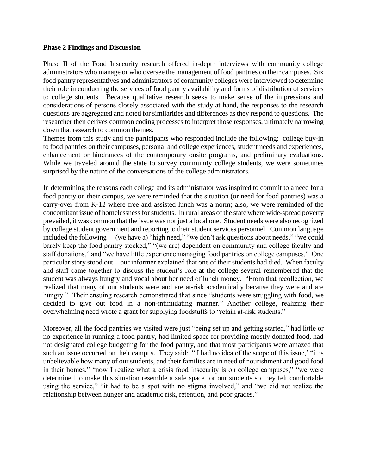#### **Phase 2 Findings and Discussion**

Phase II of the Food Insecurity research offered in-depth interviews with community college administrators who manage or who oversee the management of food pantries on their campuses. Six food pantry representatives and administrators of community colleges were interviewed to determine their role in conducting the services of food pantry availability and forms of distribution of services to college students. Because qualitative research seeks to make sense of the impressions and considerations of persons closely associated with the study at hand, the responses to the research questions are aggregated and noted for similarities and differences as they respond to questions. The researcher then derives common coding processes to interpret those responses, ultimately narrowing down that research to common themes.

Themes from this study and the participants who responded include the following: college buy-in to food pantries on their campuses, personal and college experiences, student needs and experiences, enhancement or hindrances of the contemporary onsite programs, and preliminary evaluations. While we traveled around the state to survey community college students, we were sometimes surprised by the nature of the conversations of the college administrators.

In determining the reasons each college and its administrator was inspired to commit to a need for a food pantry on their campus, we were reminded that the situation (or need for food pantries) was a carry-over from K-12 where free and assisted lunch was a norm; also, we were reminded of the concomitant issue of homelessness for students. In rural areas of the state where wide-spread poverty prevailed, it was common that the issue was not just a local one. Student needs were also recognized by college student government and reporting to their student services personnel. Common language included the following— (we have a) "high need," "we don't ask questions about needs," "we could barely keep the food pantry stocked," "(we are) dependent on community and college faculty and staff donations," and "we have little experience managing food pantries on college campuses." One particular story stood out—our informer explained that one of their students had died. When faculty and staff came together to discuss the student's role at the college several remembered that the student was always hungry and vocal about her need of lunch money. "From that recollection, we realized that many of our students were and are at-risk academically because they were and are hungry." Their ensuing research demonstrated that since "students were struggling with food, we decided to give out food in a non-intimidating manner." Another college, realizing their overwhelming need wrote a grant for supplying foodstuffs to "retain at-risk students."

Moreover, all the food pantries we visited were just "being set up and getting started," had little or no experience in running a food pantry, had limited space for providing mostly donated food, had not designated college budgeting for the food pantry, and that most participants were amazed that such an issue occurred on their campus. They said: "I had no idea of the scope of this issue,' "it is unbelievable how many of our students, and their families are in need of nourishment and good food in their homes," "now I realize what a crisis food insecurity is on college campuses," "we were determined to make this situation resemble a safe space for our students so they felt comfortable using the service," "it had to be a spot with no stigma involved," and "we did not realize the relationship between hunger and academic risk, retention, and poor grades."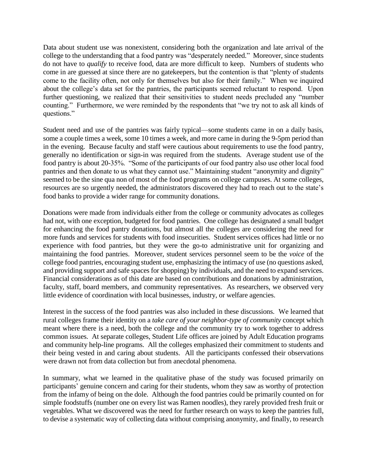Data about student use was nonexistent, considering both the organization and late arrival of the college to the understanding that a food pantry was "desperately needed." Moreover, since students do not have to *qualify* to receive food, data are more difficult to keep. Numbers of students who come in are guessed at since there are no gatekeepers, but the contention is that "plenty of students come to the facility often, not only for themselves but also for their family." When we inquired about the college's data set for the pantries, the participants seemed reluctant to respond. Upon further questioning, we realized that their sensitivities to student needs precluded any "number counting." Furthermore, we were reminded by the respondents that "we try not to ask all kinds of questions."

Student need and use of the pantries was fairly typical—some students came in on a daily basis, some a couple times a week, some 10 times a week, and more came in during the 9-5pm period than in the evening. Because faculty and staff were cautious about requirements to use the food pantry, generally no identification or sign-in was required from the students. Average student use of the food pantry is about 20-35%. "Some of the participants of our food pantry also use other local food pantries and then donate to us what they cannot use." Maintaining student "anonymity and dignity" seemed to be the sine qua non of most of the food programs on college campuses. At some colleges, resources are so urgently needed, the administrators discovered they had to reach out to the state's food banks to provide a wider range for community donations.

Donations were made from individuals either from the college or community advocates as colleges had not, with one exception, budgeted for food pantries. One college has designated a small budget for enhancing the food pantry donations, but almost all the colleges are considering the need for more funds and services for students with food insecurities. Student services offices had little or no experience with food pantries, but they were the go-to administrative unit for organizing and maintaining the food pantries. Moreover, student services personnel seem to be the *voice* of the college food pantries, encouraging student use, emphasizing the intimacy of use (no questions asked, and providing support and safe spaces for shopping) by individuals, and the need to expand services. Financial considerations as of this date are based on contributions and donations by administration, faculty, staff, board members, and community representatives. As researchers, we observed very little evidence of coordination with local businesses, industry, or welfare agencies.

Interest in the success of the food pantries was also included in these discussions. We learned that rural colleges frame their identity on a *take care of your neighbor-type of community* concept which meant where there is a need, both the college and the community try to work together to address common issues. At separate colleges, Student Life offices are joined by Adult Education programs and community help-line programs. All the colleges emphasized their commitment to students and their being vested in and caring about students. All the participants confessed their observations were drawn not from data collection but from anecdotal phenomena.

In summary, what we learned in the qualitative phase of the study was focused primarily on participants' genuine concern and caring for their students, whom they saw as worthy of protection from the infamy of being on the dole. Although the food pantries could be primarily counted on for simple foodstuffs (number one on every list was Ramen noodles), they rarely provided fresh fruit or vegetables. What we discovered was the need for further research on ways to keep the pantries full, to devise a systematic way of collecting data without comprising anonymity, and finally, to research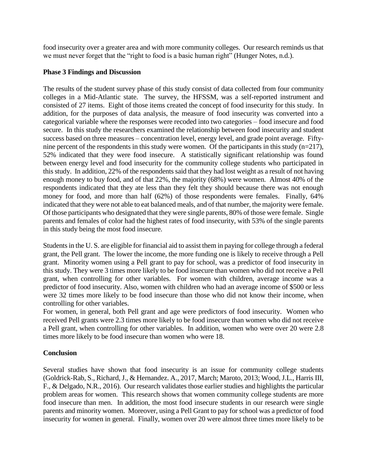food insecurity over a greater area and with more community colleges. Our research reminds us that we must never forget that the "right to food is a basic human right" (Hunger Notes, n.d.).

#### **Phase 3 Findings and Discussion**

The results of the student survey phase of this study consist of data collected from four community colleges in a Mid-Atlantic state. The survey, the HFSSM, was a self-reported instrument and consisted of 27 items. Eight of those items created the concept of food insecurity for this study. In addition, for the purposes of data analysis, the measure of food insecurity was converted into a categorical variable where the responses were recoded into two categories – food insecure and food secure. In this study the researchers examined the relationship between food insecurity and student success based on three measures – concentration level, energy level, and grade point average. Fiftynine percent of the respondents in this study were women. Of the participants in this study  $(n=217)$ , 52% indicated that they were food insecure. A statistically significant relationship was found between energy level and food insecurity for the community college students who participated in this study. In addition, 22% of the respondents said that they had lost weight as a result of not having enough money to buy food, and of that 22%, the majority (68%) were women. Almost 40% of the respondents indicated that they ate less than they felt they should because there was not enough money for food, and more than half (62%) of those respondents were females. Finally, 64% indicated that they were not able to eat balanced meals, and of that number, the majority were female. Of those participants who designated that they were single parents, 80% of those were female. Single parents and females of color had the highest rates of food insecurity, with 53% of the single parents in this study being the most food insecure.

Students in the U. S. are eligible for financial aid to assist them in paying for college through a federal grant, the Pell grant. The lower the income, the more funding one is likely to receive through a Pell grant. Minority women using a Pell grant to pay for school, was a predictor of food insecurity in this study. They were 3 times more likely to be food insecure than women who did not receive a Pell grant, when controlling for other variables. For women with children, average income was a predictor of food insecurity. Also, women with children who had an average income of \$500 or less were 32 times more likely to be food insecure than those who did not know their income, when controlling for other variables.

For women, in general, both Pell grant and age were predictors of food insecurity. Women who received Pell grants were 2.3 times more likely to be food insecure than women who did not receive a Pell grant, when controlling for other variables. In addition, women who were over 20 were 2.8 times more likely to be food insecure than women who were 18.

## **Conclusion**

Several studies have shown that food insecurity is an issue for community college students (Goldrick-Rab, S., Richard, J., & Hernandez. A., 2017, March; Maroto, 2013; Wood, J.L., Harris III, F., & Delgado, N.R., 2016). Our research validates those earlier studies and highlights the particular problem areas for women. This research shows that women community college students are more food insecure than men. In addition, the most food insecure students in our research were single parents and minority women. Moreover, using a Pell Grant to pay for school was a predictor of food insecurity for women in general. Finally, women over 20 were almost three times more likely to be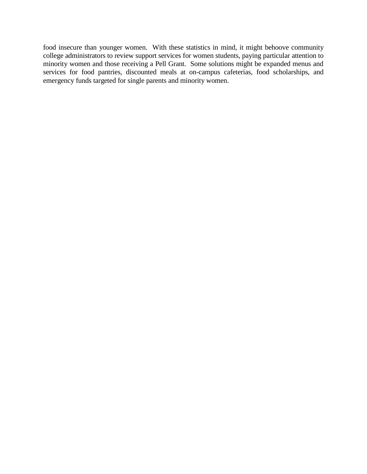food insecure than younger women. With these statistics in mind, it might behoove community college administrators to review support services for women students, paying particular attention to minority women and those receiving a Pell Grant. Some solutions might be expanded menus and services for food pantries, discounted meals at on-campus cafeterias, food scholarships, and emergency funds targeted for single parents and minority women.